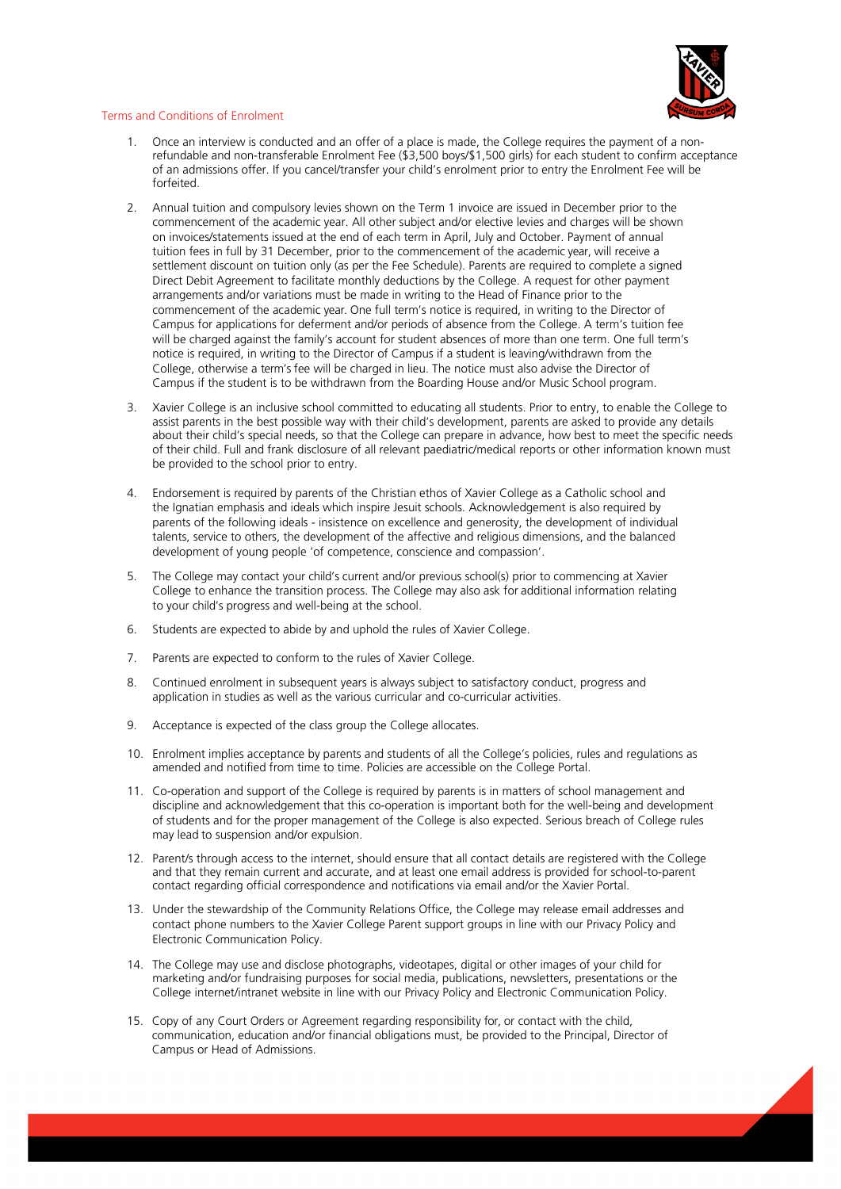

## Terms and Conditions of Enrolment

- 1. Once an interview is conducted and an offer of a place is made, the College requires the payment of a nonrefundable and non-transferable Enrolment Fee (\$3,500 boys/\$1,500 girls) for each student to confirm acceptance of an admissions offer. If you cancel/transfer your child's enrolment prior to entry the Enrolment Fee will be forfeited.
- 2. Annual tuition and compulsory levies shown on the Term 1 invoice are issued in December prior to the commencement of the academic year. All other subject and/or elective levies and charges will be shown on invoices/statements issued at the end of each term in April, July and October. Payment of annual tuition fees in full by 31 December, prior to the commencement of the academic year, will receive a settlement discount on tuition only (as per the Fee Schedule). Parents are required to complete a signed Direct Debit Agreement to facilitate monthly deductions by the College. A request for other payment arrangements and/or variations must be made in writing to the Head of Finance prior to the commencement of the academic year. One full term's notice is required, in writing to the Director of Campus for applications for deferment and/or periods of absence from the College. A term's tuition fee will be charged against the family's account for student absences of more than one term. One full term's notice is required, in writing to the Director of Campus if a student is leaving/withdrawn from the College, otherwise a term's fee will be charged in lieu. The notice must also advise the Director of Campus if the student is to be withdrawn from the Boarding House and/or Music School program.
- 3. Xavier College is an inclusive school committed to educating all students. Prior to entry, to enable the College to assist parents in the best possible way with their child's development, parents are asked to provide any details about their child's special needs, so that the College can prepare in advance, how best to meet the specific needs of their child. Full and frank disclosure of all relevant paediatric/medical reports or other information known must be provided to the school prior to entry.
- 4. Endorsement is required by parents of the Christian ethos of Xavier College as a Catholic school and the Ignatian emphasis and ideals which inspire Jesuit schools. Acknowledgement is also required by parents of the following ideals - insistence on excellence and generosity, the development of individual talents, service to others, the development of the affective and religious dimensions, and the balanced development of young people 'of competence, conscience and compassion'.
- 5. The College may contact your child's current and/or previous school(s) prior to commencing at Xavier College to enhance the transition process. The College may also ask for additional information relating to your child's progress and well-being at the school.
- 6. Students are expected to abide by and uphold the rules of Xavier College.
- 7. Parents are expected to conform to the rules of Xavier College.
- 8. Continued enrolment in subsequent years is always subject to satisfactory conduct, progress and application in studies as well as the various curricular and co-curricular activities.
- 9. Acceptance is expected of the class group the College allocates.
- 10. Enrolment implies acceptance by parents and students of all the College's policies, rules and regulations as amended and notified from time to time. Policies are accessible on the College Portal.
- 11. Co-operation and support of the College is required by parents is in matters of school management and discipline and acknowledgement that this co-operation is important both for the well-being and development of students and for the proper management of the College is also expected. Serious breach of College rules may lead to suspension and/or expulsion.
- 12. Parent/s through access to the internet, should ensure that all contact details are registered with the College and that they remain current and accurate, and at least one email address is provided for school-to-parent contact regarding official correspondence and notifications via email and/or the Xavier Portal.
- 13. Under the stewardship of the Community Relations Office, the College may release email addresses and contact phone numbers to the Xavier College Parent support groups in line with our Privacy Policy and Electronic Communication Policy.
- 14. The College may use and disclose photographs, videotapes, digital or other images of your child for marketing and/or fundraising purposes for social media, publications, newsletters, presentations or the College internet/intranet website in line with our Privacy Policy and Electronic Communication Policy.
- 15. Copy of any Court Orders or Agreement regarding responsibility for, or contact with the child, communication, education and/or financial obligations must, be provided to the Principal, Director of Campus or Head of Admissions.